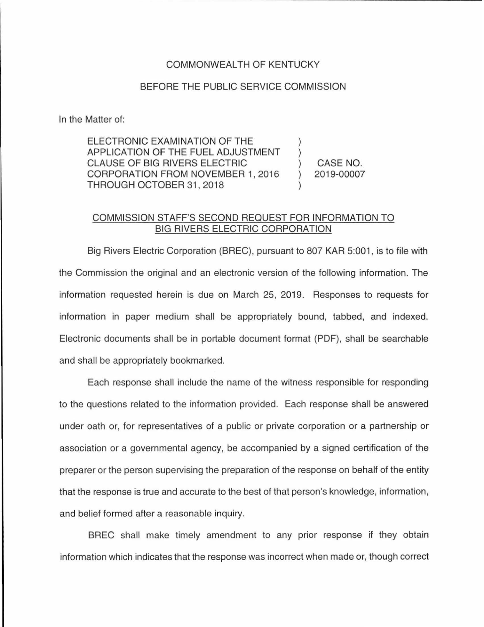## COMMONWEAL TH OF KENTUCKY

## BEFORE THE PUBLIC SERVICE COMMISSION

In the Matter of:

ELECTRONIC EXAMINATION OF THE APPLICATION OF THE FUEL ADJUSTMENT CLAUSE OF BIG RIVERS ELECTRIC CORPORATION FROM NOVEMBER 1, 2016 THROUGH OCTOBER 31 , 2018

CASE NO. 2019-00007

## COMMISSION STAFF'S SECOND REQUEST FOR INFORMATION TO BIG RIVERS ELECTRIC CORPORATION

Big Rivers Electric Corporation (BREC), pursuant to 807 KAR 5:001, is to file with the Commission the original and an electronic version of the following information. The information requested herein is due on March 25, 2019. Responses to requests for information in paper medium shall be appropriately bound, tabbed, and indexed. Electronic documents shall be in portable document format (PDF), shall be searchable and shall be appropriately bookmarked.

Each response shall include the name of the witness responsible for responding to the questions related to the information provided. Each response shall be answered under oath or, for representatives of a public or private corporation or a partnership or association or a governmental agency, be accompanied by a signed certification of the preparer or the person supervising the preparation of the response on behalf of the entity that the response is true and accurate to the best of that person's knowledge, information, and belief formed after a reasonable inquiry.

BREC shall make timely amendment to any prior response if they obtain information which indicates that the response was incorrect when made or, though correct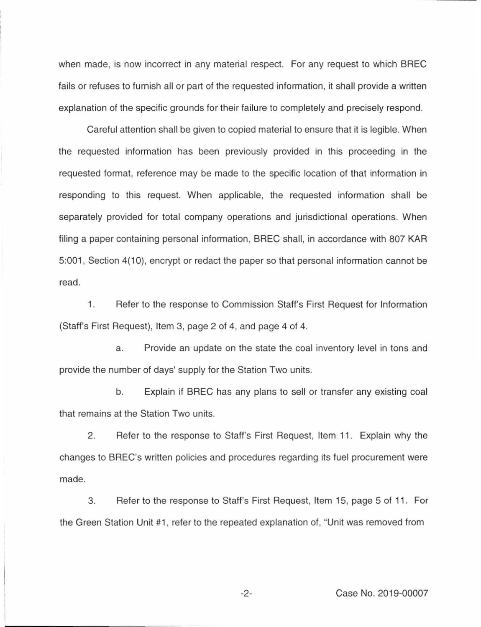when made, is now incorrect in any material respect. For any request to which BREC fails or refuses to furnish all or part of the requested information, it shall provide a written explanation of the specific grounds for their failure to completely and precisely respond.

Careful attention shall be given to copied material to ensure that it is legible. When the requested information has been previously provided in this proceeding in the requested format, reference may be made to the specific location of that information in responding to this request. When applicable, the requested information shall be separately provided for total company operations and jurisdictional operations. When filing a paper containing personal information, BREC shall, in accordance with 807 KAR 5:001 , Section 4(10), encrypt or redact the paper so that personal information cannot be read.

1. Refer to the response to Commission Staff's First Request for Information (Staff's First Request), Item 3, page 2 of 4, and page 4 of 4.

a. Provide an update on the state the coal inventory level in tons and provide the number of days' supply for the Station Two units.

b. Explain if BREC has any plans to sell or transfer any existing coal that remains at the Station Two units.

2. Refer to the response to Staff's First Request, Item 11. Explain why the changes to BREC's written policies and procedures regarding its fuel procurement were made.

3. Refer to the response to Staff's First Request, Item 15, page 5 of 11. For the Green Station Unit #1, refer to the repeated explanation of, "Unit was removed from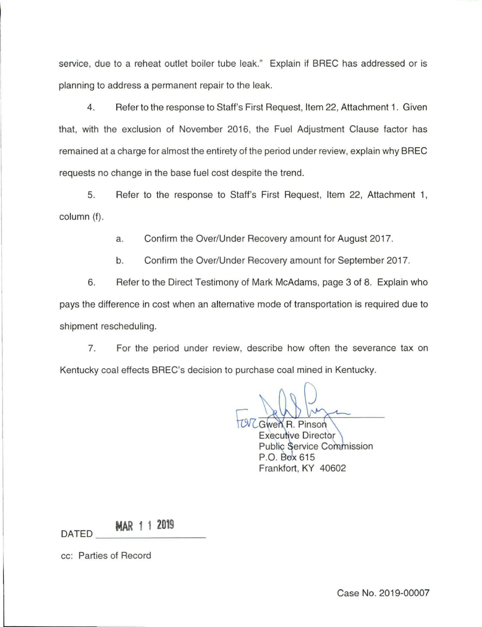service, due to a reheat outlet boiler tube leak." Explain if BREC has addressed or is planning to address a permanent repair to the leak.

4. Refer to the response to Staff's First Request, Item 22, Attachment 1. Given that, with the exclusion of November 2016, the Fuel Adjustment Clause factor has remained at a charge for almost the entirety of the period under review, explain why BREC requests no change in the base fuel cost despite the trend.

5. Refer to the response to Staff's First Request, Item 22, Attachment 1, column (f).

a. Confirm the Over/Under Recovery amount for August 2017.

b. Confirm the Over/Under Recovery amount for September 2017.

6. Refer to the Direct Testimony of Mark McAdams, page 3 of 8. Explain who pays the difference in cost when an alternative mode of transportation is required due to shipment rescheduling.

7. For the period under review, describe how often the severance tax on Kentucky coal effects BREC's decision to purchase coal mined in Kentucky.

Gwen R. Pinson

**Executive Director Public Service Commission** P.O. Box 615 Frankfort, KY 40602

**MAR 1 1 2019**  $\overline{M}$  DATED  $\overline{M}$   $\overline{M}$   $\overline{M}$   $\overline{M}$   $\overline{M}$   $\overline{M}$ 

cc: Parties of Record